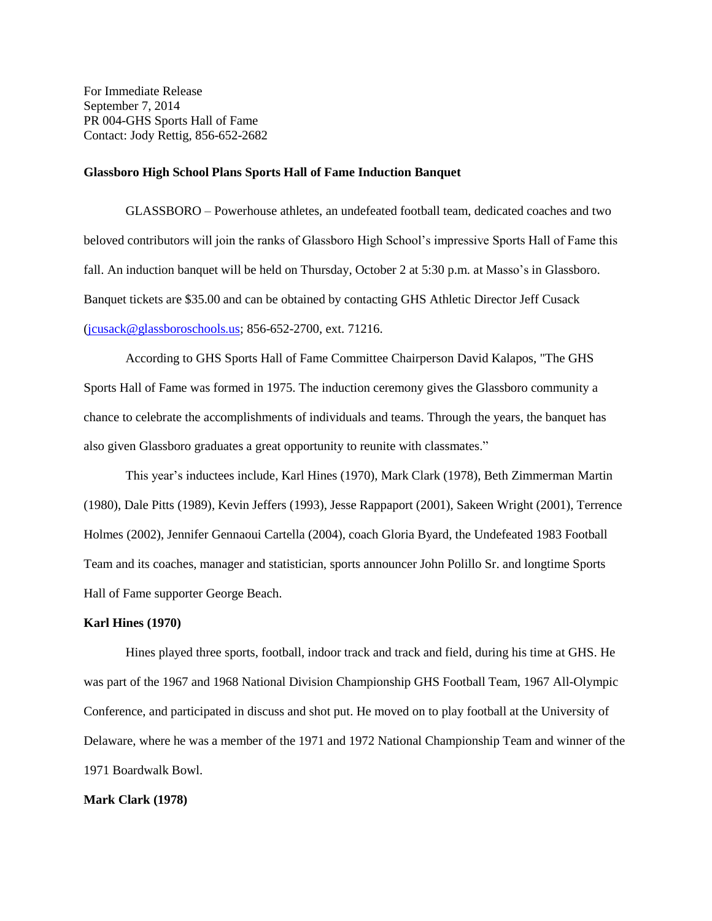For Immediate Release September 7, 2014 PR 004-GHS Sports Hall of Fame Contact: Jody Rettig, 856-652-2682

#### **Glassboro High School Plans Sports Hall of Fame Induction Banquet**

GLASSBORO – Powerhouse athletes, an undefeated football team, dedicated coaches and two beloved contributors will join the ranks of Glassboro High School's impressive Sports Hall of Fame this fall. An induction banquet will be held on Thursday, October 2 at 5:30 p.m. at Masso's in Glassboro. Banquet tickets are \$35.00 and can be obtained by contacting GHS Athletic Director Jeff Cusack [\(jcusack@glassboroschools.us;](mailto:jcusack@glassboroschools.us) 856-652-2700, ext. 71216.

According to GHS Sports Hall of Fame Committee Chairperson David Kalapos, "The GHS Sports Hall of Fame was formed in 1975. The induction ceremony gives the Glassboro community a chance to celebrate the accomplishments of individuals and teams. Through the years, the banquet has also given Glassboro graduates a great opportunity to reunite with classmates."

This year's inductees include, Karl Hines (1970), Mark Clark (1978), Beth Zimmerman Martin (1980), Dale Pitts (1989), Kevin Jeffers (1993), Jesse Rappaport (2001), Sakeen Wright (2001), Terrence Holmes (2002), Jennifer Gennaoui Cartella (2004), coach Gloria Byard, the Undefeated 1983 Football Team and its coaches, manager and statistician, sports announcer John Polillo Sr. and longtime Sports Hall of Fame supporter George Beach.

### **Karl Hines (1970)**

Hines played three sports, football, indoor track and track and field, during his time at GHS. He was part of the 1967 and 1968 National Division Championship GHS Football Team, 1967 All-Olympic Conference, and participated in discuss and shot put. He moved on to play football at the University of Delaware, where he was a member of the 1971 and 1972 National Championship Team and winner of the 1971 Boardwalk Bowl.

## **Mark Clark (1978)**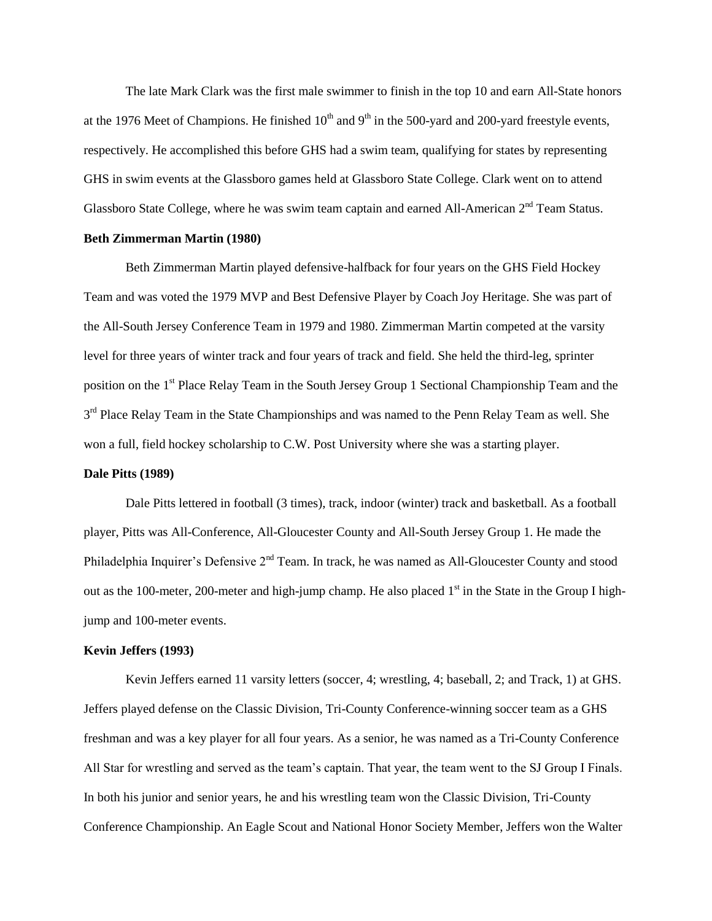The late Mark Clark was the first male swimmer to finish in the top 10 and earn All-State honors at the 1976 Meet of Champions. He finished  $10<sup>th</sup>$  and  $9<sup>th</sup>$  in the 500-yard and 200-yard freestyle events, respectively. He accomplished this before GHS had a swim team, qualifying for states by representing GHS in swim events at the Glassboro games held at Glassboro State College. Clark went on to attend Glassboro State College, where he was swim team captain and earned All-American 2<sup>nd</sup> Team Status.

### **Beth Zimmerman Martin (1980)**

Beth Zimmerman Martin played defensive-halfback for four years on the GHS Field Hockey Team and was voted the 1979 MVP and Best Defensive Player by Coach Joy Heritage. She was part of the All-South Jersey Conference Team in 1979 and 1980. Zimmerman Martin competed at the varsity level for three years of winter track and four years of track and field. She held the third-leg, sprinter position on the 1<sup>st</sup> Place Relay Team in the South Jersey Group 1 Sectional Championship Team and the 3<sup>rd</sup> Place Relay Team in the State Championships and was named to the Penn Relay Team as well. She won a full, field hockey scholarship to C.W. Post University where she was a starting player.

## **Dale Pitts (1989)**

Dale Pitts lettered in football (3 times), track, indoor (winter) track and basketball. As a football player, Pitts was All-Conference, All-Gloucester County and All-South Jersey Group 1. He made the Philadelphia Inquirer's Defensive 2<sup>nd</sup> Team. In track, he was named as All-Gloucester County and stood out as the 100-meter, 200-meter and high-jump champ. He also placed  $1<sup>st</sup>$  in the State in the Group I highjump and 100-meter events.

#### **Kevin Jeffers (1993)**

Kevin Jeffers earned 11 varsity letters (soccer, 4; wrestling, 4; baseball, 2; and Track, 1) at GHS. Jeffers played defense on the Classic Division, Tri-County Conference-winning soccer team as a GHS freshman and was a key player for all four years. As a senior, he was named as a Tri-County Conference All Star for wrestling and served as the team's captain. That year, the team went to the SJ Group I Finals. In both his junior and senior years, he and his wrestling team won the Classic Division, Tri-County Conference Championship. An Eagle Scout and National Honor Society Member, Jeffers won the Walter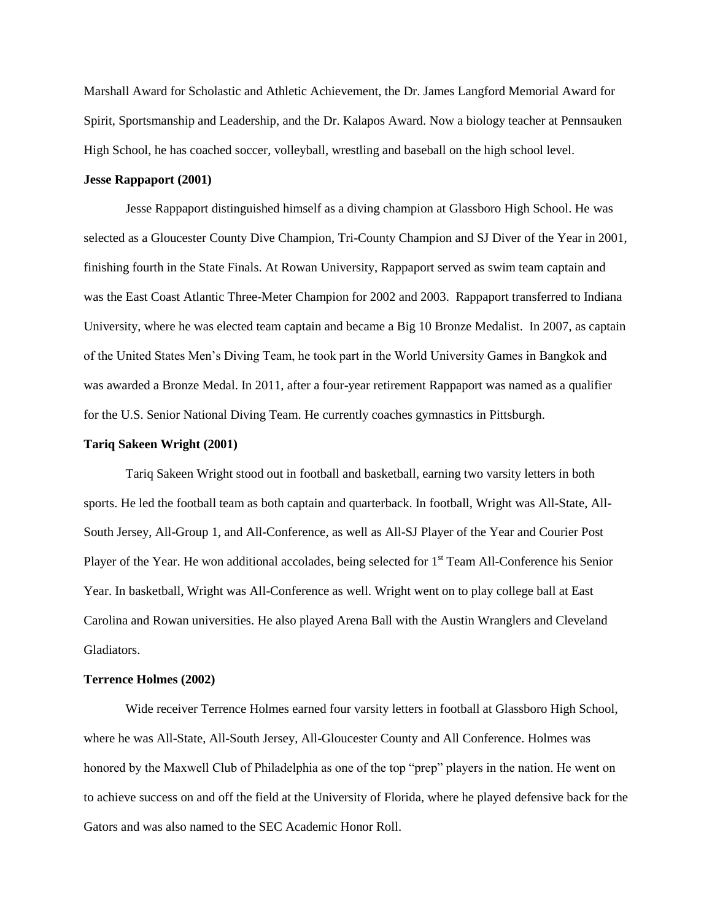Marshall Award for Scholastic and Athletic Achievement, the Dr. James Langford Memorial Award for Spirit, Sportsmanship and Leadership, and the Dr. Kalapos Award. Now a biology teacher at Pennsauken High School, he has coached soccer, volleyball, wrestling and baseball on the high school level.

## **Jesse Rappaport (2001)**

Jesse Rappaport distinguished himself as a diving champion at Glassboro High School. He was selected as a Gloucester County Dive Champion, Tri-County Champion and SJ Diver of the Year in 2001, finishing fourth in the State Finals. At Rowan University, Rappaport served as swim team captain and was the East Coast Atlantic Three-Meter Champion for 2002 and 2003. Rappaport transferred to Indiana University, where he was elected team captain and became a Big 10 Bronze Medalist. In 2007, as captain of the United States Men's Diving Team, he took part in the World University Games in Bangkok and was awarded a Bronze Medal. In 2011, after a four-year retirement Rappaport was named as a qualifier for the U.S. Senior National Diving Team. He currently coaches gymnastics in Pittsburgh.

## **Tariq Sakeen Wright (2001)**

Tariq Sakeen Wright stood out in football and basketball, earning two varsity letters in both sports. He led the football team as both captain and quarterback. In football, Wright was All-State, All-South Jersey, All-Group 1, and All-Conference, as well as All-SJ Player of the Year and Courier Post Player of the Year. He won additional accolades, being selected for 1<sup>st</sup> Team All-Conference his Senior Year. In basketball, Wright was All-Conference as well. Wright went on to play college ball at East Carolina and Rowan universities. He also played Arena Ball with the Austin Wranglers and Cleveland Gladiators.

## **Terrence Holmes (2002)**

Wide receiver Terrence Holmes earned four varsity letters in football at Glassboro High School, where he was All-State, All-South Jersey, All-Gloucester County and All Conference. Holmes was honored by the Maxwell Club of Philadelphia as one of the top "prep" players in the nation. He went on to achieve success on and off the field at the University of Florida, where he played defensive back for the Gators and was also named to the SEC Academic Honor Roll.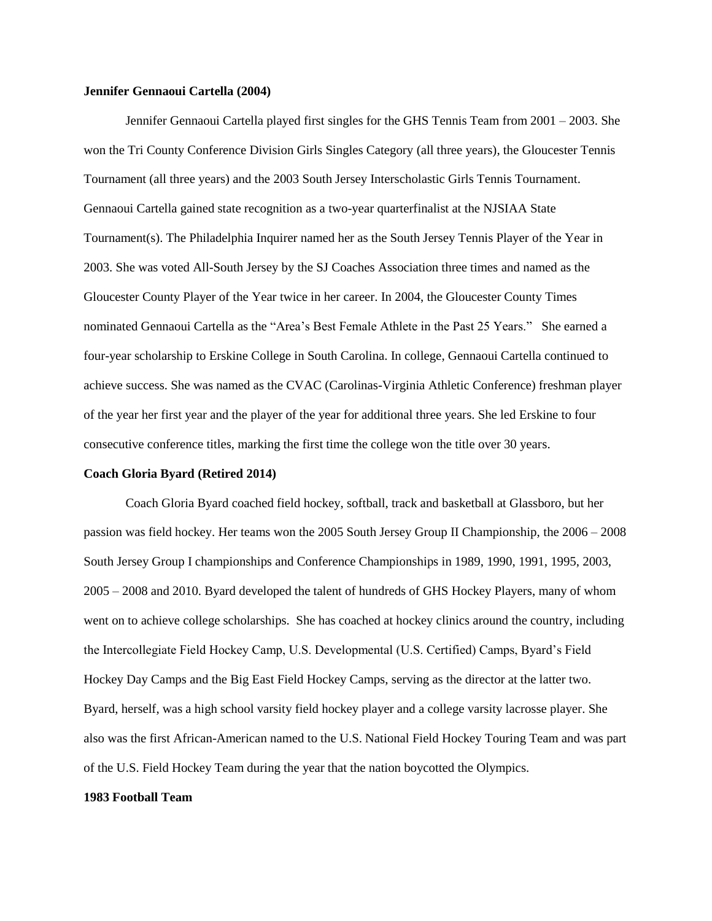#### **Jennifer Gennaoui Cartella (2004)**

Jennifer Gennaoui Cartella played first singles for the GHS Tennis Team from 2001 – 2003. She won the Tri County Conference Division Girls Singles Category (all three years), the Gloucester Tennis Tournament (all three years) and the 2003 South Jersey Interscholastic Girls Tennis Tournament. Gennaoui Cartella gained state recognition as a two-year quarterfinalist at the NJSIAA State Tournament(s). The Philadelphia Inquirer named her as the South Jersey Tennis Player of the Year in 2003. She was voted All-South Jersey by the SJ Coaches Association three times and named as the Gloucester County Player of the Year twice in her career. In 2004, the Gloucester County Times nominated Gennaoui Cartella as the "Area's Best Female Athlete in the Past 25 Years." She earned a four-year scholarship to Erskine College in South Carolina. In college, Gennaoui Cartella continued to achieve success. She was named as the CVAC (Carolinas-Virginia Athletic Conference) freshman player of the year her first year and the player of the year for additional three years. She led Erskine to four consecutive conference titles, marking the first time the college won the title over 30 years.

### **Coach Gloria Byard (Retired 2014)**

Coach Gloria Byard coached field hockey, softball, track and basketball at Glassboro, but her passion was field hockey. Her teams won the 2005 South Jersey Group II Championship, the 2006 – 2008 South Jersey Group I championships and Conference Championships in 1989, 1990, 1991, 1995, 2003, 2005 – 2008 and 2010. Byard developed the talent of hundreds of GHS Hockey Players, many of whom went on to achieve college scholarships. She has coached at hockey clinics around the country, including the Intercollegiate Field Hockey Camp, U.S. Developmental (U.S. Certified) Camps, Byard's Field Hockey Day Camps and the Big East Field Hockey Camps, serving as the director at the latter two. Byard, herself, was a high school varsity field hockey player and a college varsity lacrosse player. She also was the first African-American named to the U.S. National Field Hockey Touring Team and was part of the U.S. Field Hockey Team during the year that the nation boycotted the Olympics.

#### **1983 Football Team**